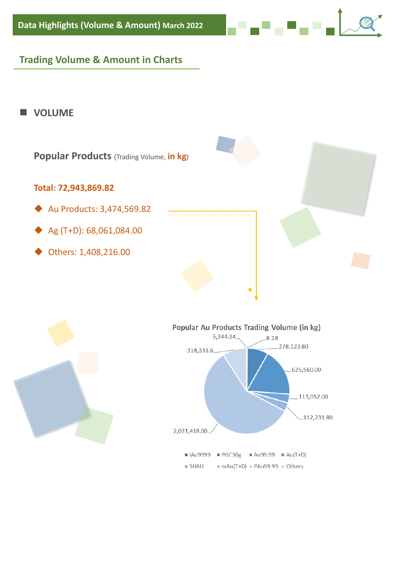## **Trading Volume & Amount in Charts**

#### ■ **VOLUME**







. . . . .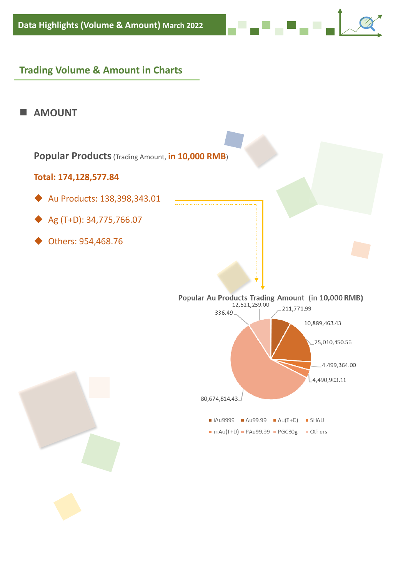### **Trading Volume & Amount in Charts**





الموالي الموالي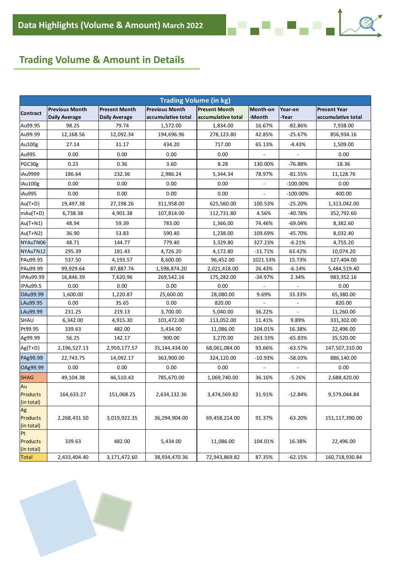## **Trading Volume & Amount in Details**

| <b>Trading Volume (in kg)</b> |                       |                      |                       |                      |                          |             |                     |
|-------------------------------|-----------------------|----------------------|-----------------------|----------------------|--------------------------|-------------|---------------------|
|                               | <b>Previous Month</b> | <b>Present Month</b> | <b>Previous Month</b> | <b>Present Month</b> | Month-on                 | Year-on     | <b>Present Year</b> |
| Contract                      | <b>Daily Average</b>  | <b>Daily Average</b> | accumulative total    | accumulative total   | -Month                   | -Year       | accumulative total  |
| Au99.95                       | 98.25                 | 79.74                | 1,572.00              | 1,834.00             | 16.67%                   | $-82.86%$   | 7,938.00            |
| Au99.99                       | 12,168.56             | 12,092.34            | 194,696.96            | 278,123.80           | 42.85%                   | $-25.67%$   | 856,934.16          |
| Au100g                        | 27.14                 | 31.17                | 434.20                | 717.00               | 65.13%                   | -4.43%      | 1,509.00            |
| Au995                         | 0.00                  | 0.00                 | 0.00                  | 0.00                 |                          |             | 0.00                |
| PGC30g                        | 0.23                  | 0.36                 | 3.60                  | 8.28                 | 130.00%                  | -76.88%     | 18.36               |
| iAu9999                       | 186.64                | 232.36               | 2,986.24              | 5,344.34             | 78.97%                   | $-81.55%$   | 11,128.76           |
| iAu100g                       | 0.00                  | 0.00                 | 0.00                  | 0.00                 |                          | $-100.00\%$ | 0.00                |
| iAu995                        | 0.00                  | 0.00                 | 0.00                  | 0.00                 | $\overline{\phantom{a}}$ | $-100.00\%$ | 400.00              |
| Au(T+D)                       | 19,497.38             | 27,198.26            | 311,958.00            | 625,560.00           | 100.53%                  | $-25.20%$   | 1,313,042.00        |
| $mAu(T+D)$                    | 6,738.38              | 4,901.38             | 107,814.00            | 112,731.80           | 4.56%                    | -40.78%     | 352,792.60          |
| $Au(T+N1)$                    | 48.94                 | 59.39                | 783.00                | 1,366.00             | 74.46%                   | $-69.04%$   | 8,382.60            |
| $Au(T+N2)$                    | 36.90                 | 53.83                | 590.40                | 1,238.00             | 109.69%                  | -45.70%     | 8,032.40            |
| NYAuTN06                      | 48.71                 | 144.77               | 779.40                | 3,329.80             | 327.23%                  | $-6.21%$    | 4,755.20            |
| NYAuTN12                      | 295.39                | 181.43               | 4,726.20              | 4,172.80             | $-11.71%$                | 63.42%      | 10,074.20           |
| PAu99.95                      | 537.50                | 4,193.57             | 8,600.00              | 96,452.00            | 1021.53%                 | 15.73%      | 127,404.00          |
| PAu99.99                      | 99,929.64             | 87,887.74            | 1,598,874.20          | 2,021,418.00         | 26.43%                   | $-6.14%$    | 5,484,519.40        |
| IPAu99.99                     | 16,846.39             | 7,620.96             | 269,542.16            | 175,282.00           | $-34.97%$                | 2.34%       | 983,352.16          |
| IPAu99.5                      | 0.00                  | 0.00                 | 0.00                  | 0.00                 |                          |             | 0.00                |
| OAu99.99                      | 1,600.00              | 1,220.87             | 25,600.00             | 28,080.00            | 9.69%                    | 33.33%      | 65,380.00           |
| LAu99.95                      | 0.00                  | 35.65                | 0.00                  | 820.00               |                          |             | 820.00              |
| LAu99.99                      | 231.25                | 219.13               | 3,700.00              | 5,040.00             | 36.22%                   |             | 11,260.00           |
| SHAU                          | 6,342.00              | 4,915.30             | 101,472.00            | 113,052.00           | 11.41%                   | 9.89%       | 331,302.00          |
| Pt99.95                       | 339.63                | 482.00               | 5,434.00              | 11,086.00            | 104.01%                  | 16.38%      | 22,496.00           |
| Ag99.99                       | 56.25                 | 142.17               | 900.00                | 3,270.00             | 263.33%                  | -65.83%     | 35,520.00           |
| Ag(T+D)                       | 2,196,527.13          | 2,959,177.57         | 35,144,434.00         | 68,061,084.00        | 93.66%                   | $-63.57%$   | 147,507,310.00      |
| PAg99.99                      | 22,743.75             | 14,092.17            | 363,900.00            | 324,120.00           | $-10.93%$                | -58.03%     | 886,140.00          |
| OAg99.99                      | 0.00                  | 0.00                 | 0.00                  | 0.00                 |                          |             | 0.00                |
| <b>SHAG</b>                   | 49,104.38             | 46,510.43            | 785,670.00            | 1,069,740.00         | 36.16%                   | -5.26%      | 2,688,420.00        |
| Au                            |                       |                      |                       |                      |                          |             |                     |
| <b>Products</b>               | 164,633.27            | 151,068.25           | 2,634,132.36          | 3,474,569.82         | 31.91%                   | $-12.84%$   | 9,579,044.84        |
| (in total)                    |                       |                      |                       |                      |                          |             |                     |
| Ag                            |                       |                      |                       |                      |                          |             |                     |
| Products<br>(in total)        | 2,268,431.50          | 3,019,922.35         | 36,294,904.00         | 69,458,214.00        | 91.37%                   | $-63.20%$   | 151,117,390.00      |
| Pt                            |                       |                      |                       |                      |                          |             |                     |
| Products                      | 339.63                | 482.00               | 5,434.00              | 11,086.00            | 104.01%                  | 16.38%      | 22,496.00           |
| (in total)                    |                       |                      |                       |                      |                          |             |                     |
| <b>Total</b>                  | 2,433,404.40          | 3,171,472.60         | 38,934,470.36         | 72,943,869.82        | 87.35%                   | $-62.15%$   | 160,718,930.84      |

<mark>▄▀▗▞▀▄▀▗▝▗▐</mark>▁

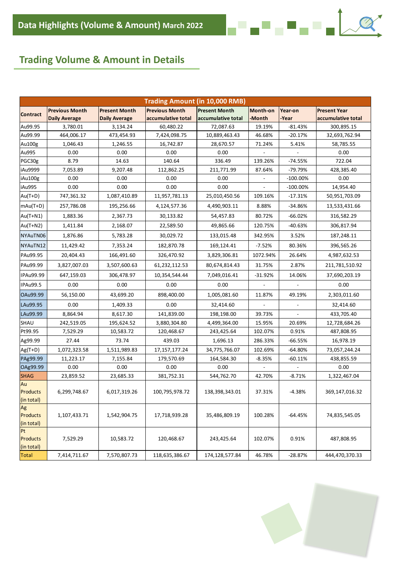# **Trading Volume & Amount in Details**

|                   |                       |                      | <b>Trading Amount (in 10,000 RMB)</b> |                      |                 |                          |                     |
|-------------------|-----------------------|----------------------|---------------------------------------|----------------------|-----------------|--------------------------|---------------------|
| <b>Contract</b>   | <b>Previous Month</b> | <b>Present Month</b> | <b>Previous Month</b>                 | <b>Present Month</b> | <b>Month-on</b> | Year-on                  | <b>Present Year</b> |
|                   | <b>Daily Average</b>  | <b>Daily Average</b> | accumulative total                    | accumulative total   | -Month          | <b>Year</b>              | accumulative total  |
| Au99.95           | 3,780.01              | 3,134.24             | 60,480.22                             | 72,087.63            | 19.19%          | $-81.43%$                | 300,895.15          |
| Au99.99           | 464,006.17            | 473,454.93           | 7,424,098.75                          | 10,889,463.43        | 46.68%          | $-20.17%$                | 32,693,762.94       |
| Au100g            | 1,046.43              | 1,246.55             | 16,742.87                             | 28,670.57            | 71.24%          | 5.41%                    | 58,785.55           |
| Au995             | 0.00                  | 0.00                 | 0.00                                  | 0.00                 |                 |                          | 0.00                |
| PGC30g            | 8.79                  | 14.63                | 140.64                                | 336.49               | 139.26%         | -74.55%                  | 722.04              |
| iAu9999           | 7,053.89              | 9,207.48             | 112,862.25                            | 211,771.99           | 87.64%          | -79.79%                  | 428,385.40          |
| iAu100g           | 0.00                  | 0.00                 | 0.00                                  | 0.00                 |                 | $-100.00\%$              | 0.00                |
| iAu995            | 0.00                  | 0.00                 | 0.00                                  | 0.00                 |                 | $-100.00\%$              | 14,954.40           |
| $Au(T+D)$         | 747,361.32            | 1,087,410.89         | 11,957,781.13                         | 25,010,450.56        | 109.16%         | -17.31%                  | 50,951,703.09       |
| $\text{mAu(T+D)}$ | 257,786.08            | 195,256.66           | 4,124,577.36                          | 4,490,903.11         | 8.88%           | -34.86%                  | 13,533,431.66       |
| $Au(T+N1)$        | 1,883.36              | 2,367.73             | 30,133.82                             | 54,457.83            | 80.72%          | $-66.02%$                | 316,582.29          |
| $Au(T+N2)$        | 1,411.84              | 2,168.07             | 22,589.50                             | 49,865.66            | 120.75%         | -40.63%                  | 306,817.94          |
| NYAuTN06          | 1,876.86              | 5,783.28             | 30,029.72                             | 133,015.48           | 342.95%         | 3.52%                    | 187,248.11          |
| NYAuTN12          | 11,429.42             | 7,353.24             | 182,870.78                            | 169,124.41           | $-7.52%$        | 80.36%                   | 396,565.26          |
| PAu99.95          | 20,404.43             | 166,491.60           | 326,470.92                            | 3,829,306.81         | 1072.94%        | 26.64%                   | 4,987,632.53        |
| PAu99.99          | 3,827,007.03          | 3,507,600.63         | 61,232,112.53                         | 80,674,814.43        | 31.75%          | 2.87%                    | 211,781,510.92      |
| IPAu99.99         | 647,159.03            | 306,478.97           | 10,354,544.44                         | 7,049,016.41         | $-31.92%$       | 14.06%                   | 37,690,203.19       |
| IPAu99.5          | 0.00                  | 0.00                 | 0.00                                  | 0.00                 |                 | $\overline{\phantom{a}}$ | 0.00                |
| OAu99.99          | 56,150.00             | 43,699.20            | 898,400.00                            | 1,005,081.60         | 11.87%          | 49.19%                   | 2,303,011.60        |
| LAu99.95          | 0.00                  | 1,409.33             | 0.00                                  | 32,414.60            |                 |                          | 32,414.60           |
| LAu99.99          | 8,864.94              | 8,617.30             | 141,839.00                            | 198,198.00           | 39.73%          |                          | 433,705.40          |
| <b>SHAU</b>       | 242,519.05            | 195,624.52           | 3,880,304.80                          | 4,499,364.00         | 15.95%          | 20.69%                   | 12,728,684.26       |
| Pt99.95           | 7,529.29              | 10,583.72            | 120,468.67                            | 243,425.64           | 102.07%         | 0.91%                    | 487,808.95          |
| Ag99.99           | 27.44                 | 73.74                | 439.03                                | 1,696.13             | 286.33%         | -66.55%                  | 16,978.19           |
| $Ag(T+D)$         | 1,072,323.58          | 1,511,989.83         | 17, 157, 177. 24                      | 34,775,766.07        | 102.69%         | -64.80%                  | 73,057,244.24       |
| PAg99.99          | 11,223.17             | 7,155.84             | 179,570.69                            | 164,584.30           | $-8.35%$        | -60.11%                  | 438,855.59          |
| OAg99.99          | 0.00                  | 0.00                 | 0.00                                  | 0.00                 |                 |                          | 0.00                |
| <b>SHAG</b>       | 23,859.52             | 23,685.33            | 381,752.31                            | 544,762.70           | 42.70%          | $-8.71%$                 | 1,322,467.04        |
| Au                |                       |                      |                                       |                      |                 |                          |                     |
| Products          | 6,299,748.67          | 6,017,319.26         | 100,795,978.72                        | 138,398,343.01       | 37.31%          | $-4.38%$                 | 369,147,016.32      |
| (in total)        |                       |                      |                                       |                      |                 |                          |                     |
| Ag                |                       |                      |                                       |                      |                 |                          |                     |
| Products          | 1,107,433.71          | 1,542,904.75         | 17,718,939.28                         | 35,486,809.19        | 100.28%         | -64.45%                  | 74,835,545.05       |
| (in total)<br>Pt  |                       |                      |                                       |                      |                 |                          |                     |
| Products          | 7,529.29              | 10,583.72            | 120,468.67                            | 243,425.64           | 102.07%         | 0.91%                    | 487,808.95          |
| (in total)        |                       |                      |                                       |                      |                 |                          |                     |
| Total             | 7,414,711.67          | 7,570,807.73         | 118,635,386.67                        | 174, 128, 577.84     | 46.78%          | $-28.87%$                | 444,470,370.33      |



▞<mark>▖▘▖▘▖▘▖</mark>▘▖<mark>▏</mark>